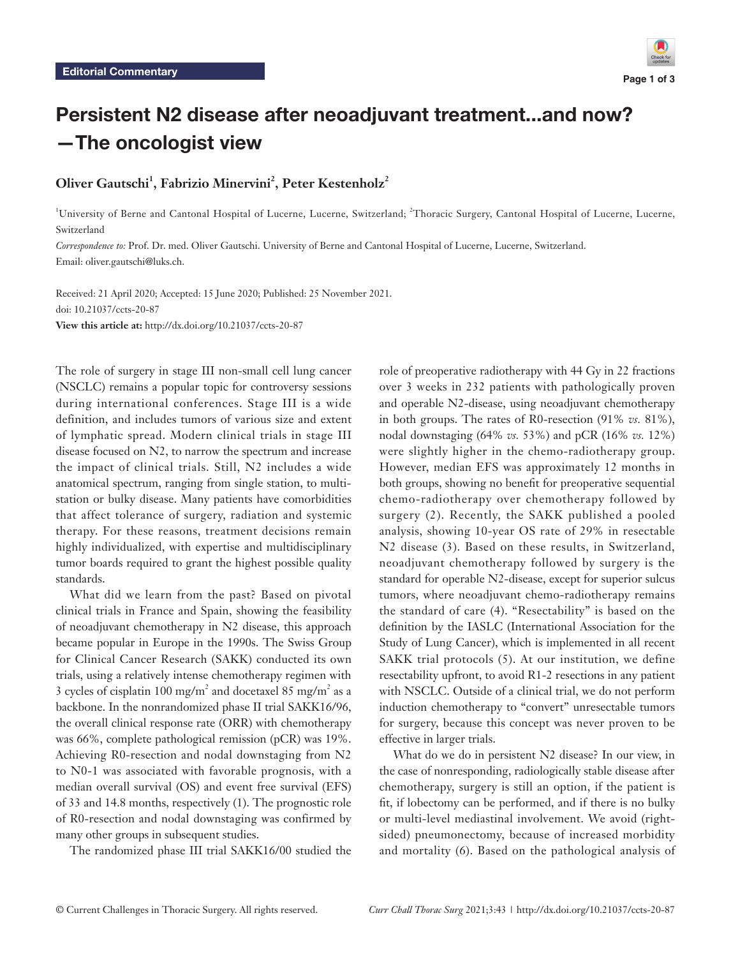# Persistent N2 disease after neoadjuvant treatment...and now? —The oncologist view

## Oliver Gautschi<sup>1</sup>, Fabrizio Minervini<sup>2</sup>, Peter Kestenholz<sup>2</sup>

<sup>1</sup>University of Berne and Cantonal Hospital of Lucerne, Lucerne, Switzerland; <sup>2</sup>Thoracic Surgery, Cantonal Hospital of Lucerne, Lucerne, Switzerland

*Correspondence to:* Prof. Dr. med. Oliver Gautschi. University of Berne and Cantonal Hospital of Lucerne, Lucerne, Switzerland. Email: oliver.gautschi@luks.ch.

Received: 21 April 2020; Accepted: 15 June 2020; Published: 25 November 2021. doi: 10.21037/ccts-20-87 **View this article at:** http://dx.doi.org/10.21037/ccts-20-87

The role of surgery in stage III non-small cell lung cancer (NSCLC) remains a popular topic for controversy sessions during international conferences. Stage III is a wide definition, and includes tumors of various size and extent of lymphatic spread. Modern clinical trials in stage III disease focused on N2, to narrow the spectrum and increase the impact of clinical trials. Still, N2 includes a wide anatomical spectrum, ranging from single station, to multistation or bulky disease. Many patients have comorbidities that affect tolerance of surgery, radiation and systemic therapy. For these reasons, treatment decisions remain highly individualized, with expertise and multidisciplinary tumor boards required to grant the highest possible quality standards.

What did we learn from the past? Based on pivotal clinical trials in France and Spain, showing the feasibility of neoadjuvant chemotherapy in N2 disease, this approach became popular in Europe in the 1990s. The Swiss Group for Clinical Cancer Research (SAKK) conducted its own trials, using a relatively intense chemotherapy regimen with 3 cycles of cisplatin 100 mg/m<sup>2</sup> and docetaxel 85 mg/m<sup>2</sup> as a backbone. In the nonrandomized phase II trial SAKK16/96, the overall clinical response rate (ORR) with chemotherapy was 66%, complete pathological remission (pCR) was 19%. Achieving R0-resection and nodal downstaging from N2 to N0-1 was associated with favorable prognosis, with a median overall survival (OS) and event free survival (EFS) of 33 and 14.8 months, respectively (1). The prognostic role of R0-resection and nodal downstaging was confirmed by many other groups in subsequent studies.

The randomized phase III trial SAKK16/00 studied the

role of preoperative radiotherapy with 44 Gy in 22 fractions over 3 weeks in 232 patients with pathologically proven and operable N2-disease, using neoadjuvant chemotherapy in both groups. The rates of R0-resection (91% *vs.* 81%), nodal downstaging (64% *vs.* 53%) and pCR (16% *vs.* 12%) were slightly higher in the chemo-radiotherapy group. However, median EFS was approximately 12 months in both groups, showing no benefit for preoperative sequential chemo-radiotherapy over chemotherapy followed by surgery (2). Recently, the SAKK published a pooled analysis, showing 10-year OS rate of 29% in resectable N2 disease (3). Based on these results, in Switzerland, neoadjuvant chemotherapy followed by surgery is the standard for operable N2-disease, except for superior sulcus tumors, where neoadjuvant chemo-radiotherapy remains the standard of care (4). "Resectability" is based on the definition by the IASLC (International Association for the Study of Lung Cancer), which is implemented in all recent SAKK trial protocols (5). At our institution, we define resectability upfront, to avoid R1-2 resections in any patient with NSCLC. Outside of a clinical trial, we do not perform induction chemotherapy to "convert" unresectable tumors for surgery, because this concept was never proven to be effective in larger trials.

What do we do in persistent N2 disease? In our view, in the case of nonresponding, radiologically stable disease after chemotherapy, surgery is still an option, if the patient is fit, if lobectomy can be performed, and if there is no bulky or multi-level mediastinal involvement. We avoid (rightsided) pneumonectomy, because of increased morbidity and mortality (6). Based on the pathological analysis of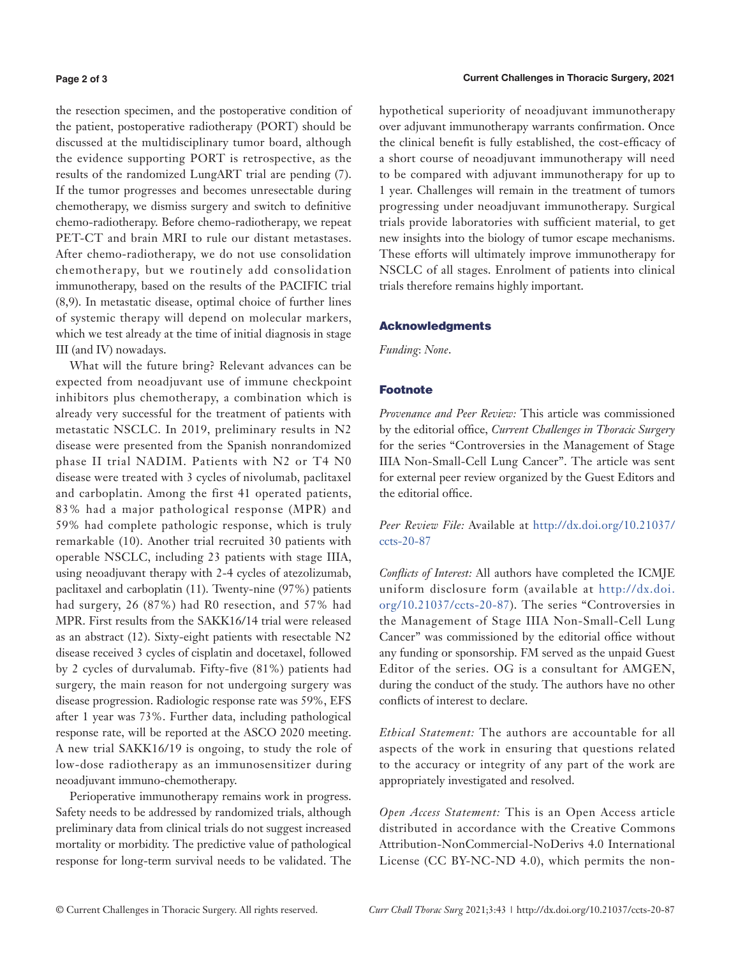#### **Page 2 of 3**

the resection specimen, and the postoperative condition of the patient, postoperative radiotherapy (PORT) should be discussed at the multidisciplinary tumor board, although the evidence supporting PORT is retrospective, as the results of the randomized LungART trial are pending (7). If the tumor progresses and becomes unresectable during chemotherapy, we dismiss surgery and switch to definitive chemo-radiotherapy. Before chemo-radiotherapy, we repeat PET-CT and brain MRI to rule our distant metastases. After chemo-radiotherapy, we do not use consolidation chemotherapy, but we routinely add consolidation immunotherapy, based on the results of the PACIFIC trial (8,9). In metastatic disease, optimal choice of further lines of systemic therapy will depend on molecular markers, which we test already at the time of initial diagnosis in stage III (and IV) nowadays.

What will the future bring? Relevant advances can be expected from neoadjuvant use of immune checkpoint inhibitors plus chemotherapy, a combination which is already very successful for the treatment of patients with metastatic NSCLC. In 2019, preliminary results in N2 disease were presented from the Spanish nonrandomized phase II trial NADIM. Patients with N2 or T4 N0 disease were treated with 3 cycles of nivolumab, paclitaxel and carboplatin. Among the first 41 operated patients, 83% had a major pathological response (MPR) and 59% had complete pathologic response, which is truly remarkable (10). Another trial recruited 30 patients with operable NSCLC, including 23 patients with stage IIIA, using neoadjuvant therapy with 2-4 cycles of atezolizumab, paclitaxel and carboplatin (11). Twenty-nine (97%) patients had surgery, 26 (87%) had R0 resection, and 57% had MPR. First results from the SAKK16/14 trial were released as an abstract (12). Sixty-eight patients with resectable N2 disease received 3 cycles of cisplatin and docetaxel, followed by 2 cycles of durvalumab. Fifty-five (81%) patients had surgery, the main reason for not undergoing surgery was disease progression. Radiologic response rate was 59%, EFS after 1 year was 73%. Further data, including pathological response rate, will be reported at the ASCO 2020 meeting. A new trial SAKK16/19 is ongoing, to study the role of low-dose radiotherapy as an immunosensitizer during neoadjuvant immuno-chemotherapy.

Perioperative immunotherapy remains work in progress. Safety needs to be addressed by randomized trials, although preliminary data from clinical trials do not suggest increased mortality or morbidity. The predictive value of pathological response for long-term survival needs to be validated. The hypothetical superiority of neoadjuvant immunotherapy over adjuvant immunotherapy warrants confirmation. Once the clinical benefit is fully established, the cost-efficacy of a short course of neoadjuvant immunotherapy will need to be compared with adjuvant immunotherapy for up to 1 year. Challenges will remain in the treatment of tumors progressing under neoadjuvant immunotherapy. Surgical trials provide laboratories with sufficient material, to get new insights into the biology of tumor escape mechanisms. These efforts will ultimately improve immunotherapy for NSCLC of all stages. Enrolment of patients into clinical trials therefore remains highly important.

#### Acknowledgments

*Funding*: *None*.

## Footnote

*Provenance and Peer Review:* This article was commissioned by the editorial office, *Current Challenges in Thoracic Surgery* for the series "Controversies in the Management of Stage IIIA Non-Small-Cell Lung Cancer". The article was sent for external peer review organized by the Guest Editors and the editorial office.

*Peer Review File:* Available at [http://dx.doi.org/10.21037/](http://dx.doi.org/10.21037/ccts-20-87) [ccts-20-87](http://dx.doi.org/10.21037/ccts-20-87)

*Conflicts of Interest:* All authors have completed the ICMJE uniform disclosure form (available at [http://dx.doi.](http://dx.doi.org/10.21037/ccts-20-87) [org/10.21037/ccts-20-87](http://dx.doi.org/10.21037/ccts-20-87)). The series "Controversies in the Management of Stage IIIA Non-Small-Cell Lung Cancer" was commissioned by the editorial office without any funding or sponsorship. FM served as the unpaid Guest Editor of the series. OG is a consultant for AMGEN, during the conduct of the study. The authors have no other conflicts of interest to declare.

*Ethical Statement:* The authors are accountable for all aspects of the work in ensuring that questions related to the accuracy or integrity of any part of the work are appropriately investigated and resolved.

*Open Access Statement:* This is an Open Access article distributed in accordance with the Creative Commons Attribution-NonCommercial-NoDerivs 4.0 International License (CC BY-NC-ND 4.0), which permits the non-